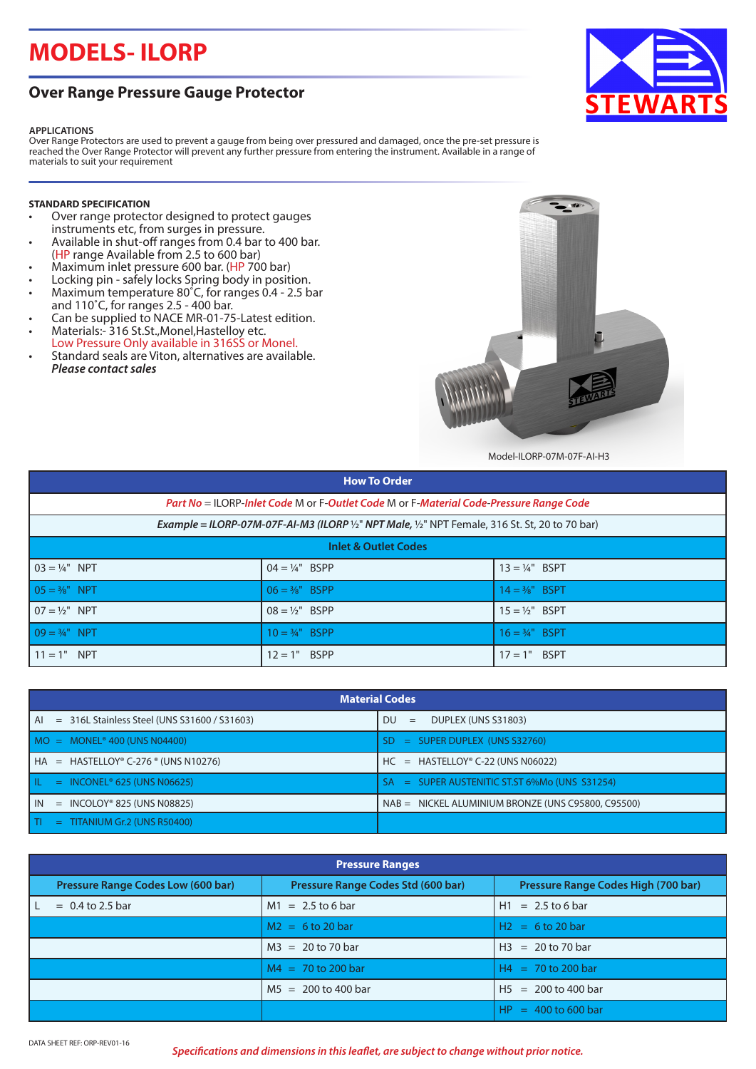# **MODELS- ILORP**

### **Over Range Pressure Gauge Protector**

#### **APPLICATIONS**

Over Range Protectors are used to prevent a gauge from being over pressured and damaged, once the pre-set pressure is reached the Over Range Protector will prevent any further pressure from entering the instrument. Available in a range of materials to suit your requirement

#### **STANDARD SPECIFICATION**

- Over range protector designed to protect gauges instruments etc, from surges in pressure.
- Available in shut-off ranges from 0.4 bar to 400 bar. (HP range Available from 2.5 to 600 bar)
- Maximum inlet pressure 600 bar. (HP 700 bar)
- Locking pin safely locks Spring body in position.
- Maximum temperature 80˚C, for ranges 0.4 2.5 bar and 110˚C, for ranges 2.5 - 400 bar.
- Can be supplied to NACE MR-01-75-Latest edition. • Materials:- 316 St.St.,Monel,Hastelloy etc.
- Low Pressure Only available in 316SS or Monel.
- Standard seals are Viton, alternatives are available. *Please contact sales*



Model-ILORP-07M-07F-AI-H3

| <b>How To Order</b>                                                                                                                       |                           |                           |  |  |
|-------------------------------------------------------------------------------------------------------------------------------------------|---------------------------|---------------------------|--|--|
| Part No = ILORP-Inlet Code M or F-Outlet Code M or F-Material Code-Pressure Range Code                                                    |                           |                           |  |  |
| <b>Example = ILORP-07M-07F-AI-M3 (ILORP</b> $\frac{1}{2}$ " <b>NPT Male,</b> $\frac{1}{2}$ " <b>NPT</b> Female, 316 St. St, 20 to 70 bar) |                           |                           |  |  |
| <b>Inlet &amp; Outlet Codes</b>                                                                                                           |                           |                           |  |  |
| $03 = \frac{1}{4}$ " NPT                                                                                                                  | $04 = 1/4$ " BSPP         | $13 = 14"$ BSPT           |  |  |
| $05 = \frac{3}{8}$ " NPT                                                                                                                  | $06 = \frac{3}{8}$ " BSPP | $14 = \frac{3}{8}$ " BSPT |  |  |
| $07 = 1/2$ " NPT                                                                                                                          | $08 = 1/2$ " BSPP         | $15 = 1/2$ " BSPT         |  |  |
| $09 = \frac{3}{4}$ " NPT                                                                                                                  | $10 = \frac{3}{4}$ " BSPP | $16 = \frac{3}{4}$ " BSPT |  |  |
| $11 = 1"$<br><b>NPT</b>                                                                                                                   | $12 = 1"$ BSPP            | $17 = 1"$ BSPT            |  |  |

| <b>Material Codes</b>                                  |                                                      |  |
|--------------------------------------------------------|------------------------------------------------------|--|
| $=$ 316L Stainless Steel (UNS S31600 / S31603)<br>l Al | DU<br>DUPLEX (UNS S31803)<br>$=$                     |  |
| $MO = MONEL® 400 (UNS N04400)$                         | $=$ SUPER DUPLEX (UNS S32760)<br>-SD.                |  |
| $H = HASTELLOY° C-276° (UNS N10276)$                   | $HC = HASTELLOYo C-22 (UNS N06022)$                  |  |
| l il.<br>$=$ INCONEL <sup>®</sup> 625 (UNS N06625)     | $=$ SUPER AUSTENITIC ST.ST 6%Mo (UNS S31254)<br>-SA  |  |
| l in<br>$=$ INCOLOY® 825 (UNS N08825)                  | $NAB = NICKEL ALUMINIUM BRONZE (UNS C95800, C95500)$ |  |
| l TI<br>TITANIUM Gr.2 (UNS R50400)<br>$=$ $-$          |                                                      |  |

| <b>Pressure Ranges</b>             |                                    |                                     |  |
|------------------------------------|------------------------------------|-------------------------------------|--|
| Pressure Range Codes Low (600 bar) | Pressure Range Codes Std (600 bar) | Pressure Range Codes High (700 bar) |  |
| $= 0.4$ to 2.5 bar                 | $M1 = 2.5$ to 6 bar                | $H1 = 2.5$ to 6 bar                 |  |
|                                    | $M2 = 6$ to 20 bar                 | $H2 = 6$ to 20 bar                  |  |
|                                    | $M3 = 20$ to 70 bar                | $H3 = 20$ to 70 bar                 |  |
|                                    | $MA = 70$ to 200 bar               | $H4 = 70$ to 200 bar                |  |
|                                    | $MS = 200$ to 400 bar              | $H5 = 200$ to 400 bar               |  |
|                                    |                                    | $HP = 400$ to 600 bar               |  |